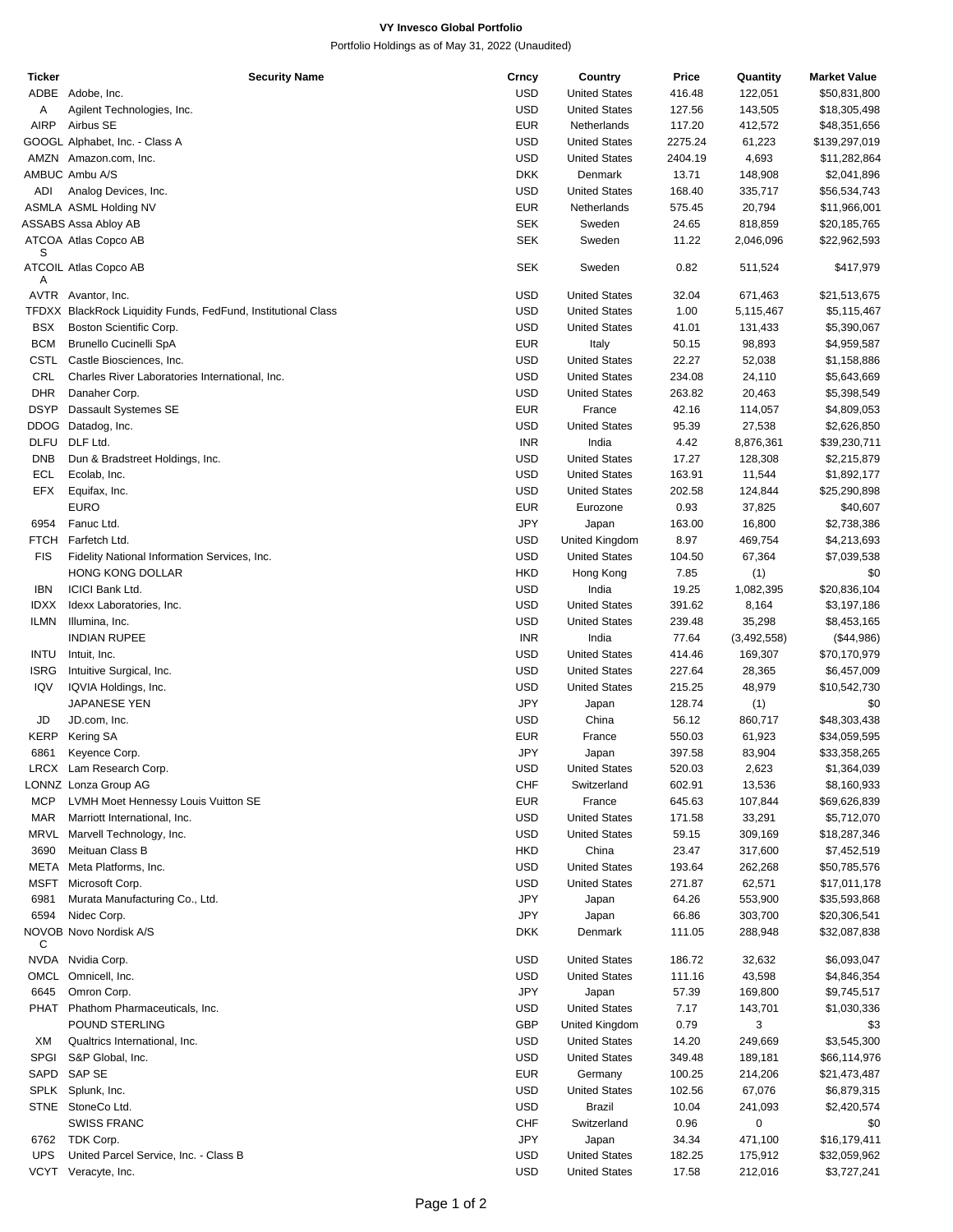## **VY Invesco Global Portfolio**

Portfolio Holdings as of May 31, 2022 (Unaudited)

| <b>Ticker</b> | <b>Security Name</b>                                          | Crncy      | Country              | Price   | Quantity    | <b>Market Value</b> |
|---------------|---------------------------------------------------------------|------------|----------------------|---------|-------------|---------------------|
|               | ADBE Adobe, Inc.                                              | <b>USD</b> | <b>United States</b> | 416.48  | 122,051     | \$50,831,800        |
| Α             | Agilent Technologies, Inc.                                    | <b>USD</b> | <b>United States</b> | 127.56  | 143,505     | \$18,305,498        |
| AIRP          | Airbus SE                                                     | <b>EUR</b> | Netherlands          | 117.20  | 412,572     | \$48,351,656        |
|               | GOOGL Alphabet, Inc. - Class A                                | <b>USD</b> | <b>United States</b> | 2275.24 | 61,223      | \$139,297,019       |
|               | AMZN Amazon.com, Inc.                                         | <b>USD</b> | <b>United States</b> | 2404.19 | 4,693       | \$11,282,864        |
|               | AMBUC Ambu A/S                                                | <b>DKK</b> | Denmark              | 13.71   | 148,908     | \$2,041,896         |
| ADI           | Analog Devices, Inc.                                          | <b>USD</b> | <b>United States</b> | 168.40  | 335,717     | \$56,534,743        |
|               | ASMLA ASML Holding NV                                         | <b>EUR</b> | Netherlands          | 575.45  | 20,794      | \$11,966,001        |
|               |                                                               |            |                      |         |             |                     |
|               | ASSABS Assa Abloy AB                                          | <b>SEK</b> | Sweden               | 24.65   | 818,859     | \$20,185,765        |
| S             | ATCOA Atlas Copco AB                                          | <b>SEK</b> | Sweden               | 11.22   | 2,046,096   | \$22,962,593        |
|               | ATCOIL Atlas Copco AB                                         | SEK        | Sweden               | 0.82    | 511,524     | \$417,979           |
| Α             |                                                               |            |                      |         |             |                     |
|               | AVTR Avantor, Inc.                                            | <b>USD</b> | <b>United States</b> | 32.04   | 671,463     | \$21,513,675        |
|               | TFDXX BlackRock Liquidity Funds, FedFund, Institutional Class | <b>USD</b> | <b>United States</b> | 1.00    | 5,115,467   | \$5,115,467         |
| <b>BSX</b>    | Boston Scientific Corp.                                       | <b>USD</b> | <b>United States</b> | 41.01   | 131,433     | \$5,390,067         |
| <b>BCM</b>    | <b>Brunello Cucinelli SpA</b>                                 | <b>EUR</b> | Italy                | 50.15   | 98,893      | \$4,959,587         |
|               | CSTL Castle Biosciences, Inc.                                 | <b>USD</b> | <b>United States</b> | 22.27   | 52,038      | \$1,158,886         |
| CRL           | Charles River Laboratories International, Inc.                | <b>USD</b> | <b>United States</b> | 234.08  | 24,110      | \$5,643,669         |
| <b>DHR</b>    | Danaher Corp.                                                 | <b>USD</b> | <b>United States</b> | 263.82  | 20,463      |                     |
|               |                                                               |            |                      |         |             | \$5,398,549         |
| <b>DSYP</b>   | Dassault Systemes SE                                          | <b>EUR</b> | France               | 42.16   | 114,057     | \$4,809,053         |
|               | DDOG Datadog, Inc.                                            | <b>USD</b> | <b>United States</b> | 95.39   | 27,538      | \$2,626,850         |
|               | DLFU DLF Ltd.                                                 | <b>INR</b> | India                | 4.42    | 8,876,361   | \$39,230,711        |
| <b>DNB</b>    | Dun & Bradstreet Holdings, Inc.                               | <b>USD</b> | <b>United States</b> | 17.27   | 128,308     | \$2,215,879         |
| ECL           | Ecolab, Inc.                                                  | <b>USD</b> | <b>United States</b> | 163.91  | 11,544      | \$1,892,177         |
| EFX           | Equifax, Inc.                                                 | <b>USD</b> | <b>United States</b> | 202.58  | 124,844     | \$25,290,898        |
|               | <b>EURO</b>                                                   | <b>EUR</b> | Eurozone             | 0.93    | 37,825      | \$40,607            |
| 6954          | Fanuc Ltd.                                                    | <b>JPY</b> | Japan                | 163.00  | 16,800      | \$2,738,386         |
| <b>FTCH</b>   | Farfetch Ltd.                                                 | <b>USD</b> | United Kingdom       | 8.97    | 469,754     | \$4,213,693         |
| <b>FIS</b>    | Fidelity National Information Services, Inc.                  | <b>USD</b> | <b>United States</b> | 104.50  | 67,364      | \$7,039,538         |
|               | <b>HONG KONG DOLLAR</b>                                       | <b>HKD</b> | Hong Kong            | 7.85    | (1)         | \$0                 |
| <b>IBN</b>    | <b>ICICI Bank Ltd.</b>                                        | <b>USD</b> | India                | 19.25   | 1,082,395   | \$20,836,104        |
|               |                                                               | <b>USD</b> |                      |         |             |                     |
| <b>IDXX</b>   | Idexx Laboratories, Inc.                                      |            | <b>United States</b> | 391.62  | 8,164       | \$3,197,186         |
| <b>ILMN</b>   | Illumina, Inc.                                                | <b>USD</b> | <b>United States</b> | 239.48  | 35,298      | \$8,453,165         |
|               | <b>INDIAN RUPEE</b>                                           | <b>INR</b> | India                | 77.64   | (3,492,558) | (\$44,986)          |
| <b>INTU</b>   | Intuit, Inc.                                                  | <b>USD</b> | <b>United States</b> | 414.46  | 169,307     | \$70,170,979        |
| ISRG          | Intuitive Surgical, Inc.                                      | <b>USD</b> | <b>United States</b> | 227.64  | 28,365      | \$6,457,009         |
| IQV           | IQVIA Holdings, Inc.                                          | <b>USD</b> | <b>United States</b> | 215.25  | 48,979      | \$10,542,730        |
|               | JAPANESE YEN                                                  | <b>JPY</b> | Japan                | 128.74  | (1)         | \$0                 |
| JD            | JD.com, Inc.                                                  | <b>USD</b> | China                | 56.12   | 860,717     | \$48,303,438        |
| <b>KERP</b>   | Kering SA                                                     | <b>EUR</b> | France               | 550.03  | 61,923      | \$34,059,595        |
| 6861          | Keyence Corp.                                                 | <b>JPY</b> | Japan                | 397.58  | 83,904      | \$33,358,265        |
|               | LRCX Lam Research Corp.                                       | <b>USD</b> | <b>United States</b> | 520.03  | 2,623       | \$1,364,039         |
|               | LONNZ Lonza Group AG                                          | CHF        | Switzerland          | 602.91  | 13,536      | \$8,160,933         |
| <b>MCP</b>    | LVMH Moet Hennessy Louis Vuitton SE                           | <b>EUR</b> | France               | 645.63  | 107,844     | \$69,626,839        |
| <b>MAR</b>    | Marriott International, Inc.                                  | <b>USD</b> | <b>United States</b> | 171.58  | 33,291      | \$5,712,070         |
|               | MRVL Marvell Technology, Inc.                                 | <b>USD</b> | <b>United States</b> | 59.15   | 309,169     | \$18,287,346        |
| 3690          | Meituan Class B                                               | <b>HKD</b> | China                | 23.47   | 317,600     | \$7,452,519         |
|               | META Meta Platforms, Inc.                                     |            |                      |         |             |                     |
|               |                                                               | <b>USD</b> | <b>United States</b> | 193.64  | 262,268     | \$50,785,576        |
| <b>MSFT</b>   | Microsoft Corp.                                               | <b>USD</b> | <b>United States</b> | 271.87  | 62,571      | \$17,011,178        |
| 6981          | Murata Manufacturing Co., Ltd.                                | JPY        | Japan                | 64.26   | 553,900     | \$35,593,868        |
| 6594          | Nidec Corp.                                                   | <b>JPY</b> | Japan                | 66.86   | 303,700     | \$20,306,541        |
|               | NOVOB Novo Nordisk A/S                                        | DKK        | Denmark              | 111.05  | 288,948     | \$32,087,838        |
| C             |                                                               |            |                      |         |             |                     |
|               | NVDA Nvidia Corp.                                             | <b>USD</b> | <b>United States</b> | 186.72  | 32,632      | \$6,093,047         |
|               | OMCL Omnicell, Inc.                                           | <b>USD</b> | <b>United States</b> | 111.16  | 43,598      | \$4,846,354         |
| 6645          | Omron Corp.                                                   | JPY        | Japan                | 57.39   | 169,800     | \$9,745,517         |
|               | PHAT Phathom Pharmaceuticals, Inc.                            | <b>USD</b> | <b>United States</b> | 7.17    | 143,701     | \$1,030,336         |
|               | POUND STERLING                                                | GBP        | United Kingdom       | 0.79    | 3           | \$3                 |
| XM            | Qualtrics International, Inc.                                 | <b>USD</b> | <b>United States</b> | 14.20   | 249,669     | \$3,545,300         |
| SPGI          | S&P Global, Inc.                                              | <b>USD</b> | <b>United States</b> | 349.48  | 189,181     | \$66,114,976        |
|               | SAPD SAP SE                                                   | <b>EUR</b> | Germany              | 100.25  | 214,206     | \$21,473,487        |
|               | SPLK Splunk, Inc.                                             | <b>USD</b> | <b>United States</b> | 102.56  | 67,076      | \$6,879,315         |
|               | STNE StoneCo Ltd.                                             | <b>USD</b> | <b>Brazil</b>        | 10.04   | 241,093     | \$2,420,574         |
|               | <b>SWISS FRANC</b>                                            | CHF        | Switzerland          | 0.96    | 0           | \$0                 |
| 6762          | TDK Corp.                                                     | JPY        | Japan                | 34.34   | 471,100     | \$16,179,411        |
| <b>UPS</b>    |                                                               |            | <b>United States</b> |         |             |                     |
|               | United Parcel Service, Inc. - Class B                         | <b>USD</b> |                      | 182.25  | 175,912     | \$32,059,962        |
|               | VCYT Veracyte, Inc.                                           | <b>USD</b> | <b>United States</b> | 17.58   | 212,016     | \$3,727,241         |